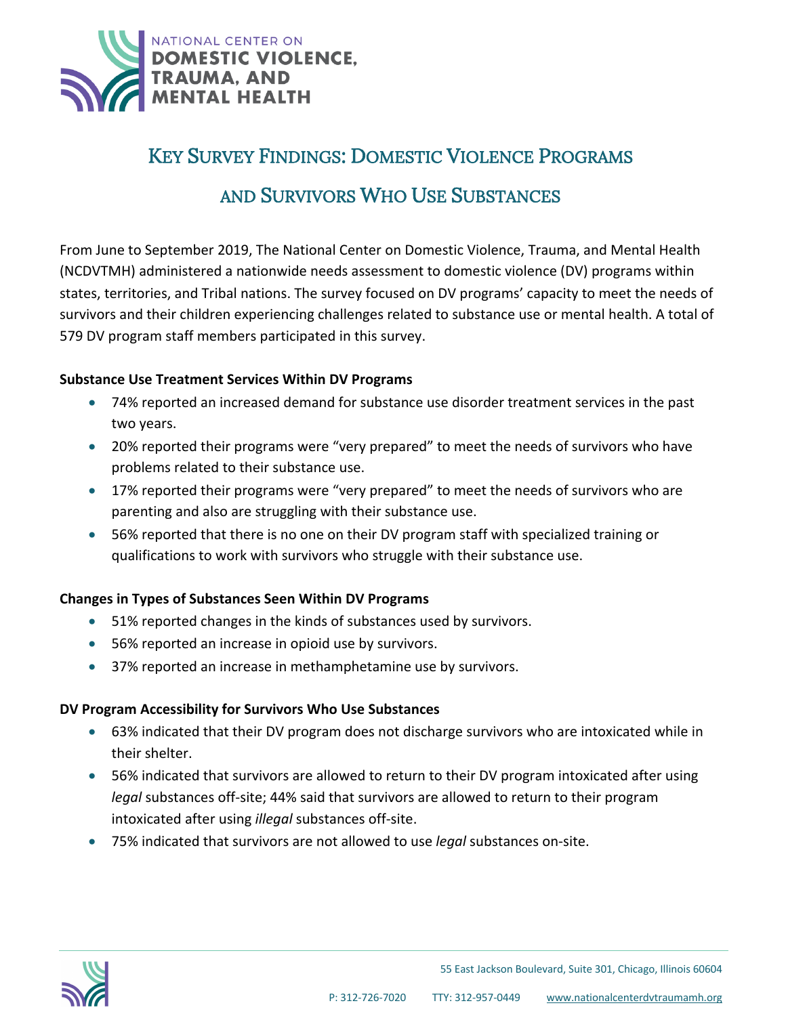

## KEY SURVEY FINDINGS: DOMESTIC VIOLENCE PROGRAMS

# AND SURVIVORS WHO USE SUBSTANCES

From June to September 2019, The National Center on Domestic Violence, Trauma, and Mental Health (NCDVTMH) administered a nationwide needs assessment to domestic violence (DV) programs within states, territories, and Tribal nations. The survey focused on DV programs' capacity to meet the needs of survivors and their children experiencing challenges related to substance use or mental health. A total of 579 DV program staff members participated in this survey.

#### **Substance Use Treatment Services Within DV Programs**

- 74% reported an increased demand for substance use disorder treatment services in the past two years.
- 20% reported their programs were "very prepared" to meet the needs of survivors who have problems related to their substance use.
- 17% reported their programs were "very prepared" to meet the needs of survivors who are parenting and also are struggling with their substance use.
- 56% reported that there is no one on their DV program staff with specialized training or qualifications to work with survivors who struggle with their substance use.

### **Changes in Types of Substances Seen Within DV Programs**

- 51% reported changes in the kinds of substances used by survivors.
- 56% reported an increase in opioid use by survivors.
- 37% reported an increase in methamphetamine use by survivors.

### **DV Program Accessibility for Survivors Who Use Substances**

Ī

- 63% indicated that their DV program does not discharge survivors who are intoxicated while in their shelter.
- 56% indicated that survivors are allowed to return to their DV program intoxicated after using *legal* substances off-site; 44% said that survivors are allowed to return to their program intoxicated after using *illegal* substances off-site.
- 75% indicated that survivors are not allowed to use *legal* substances on-site.